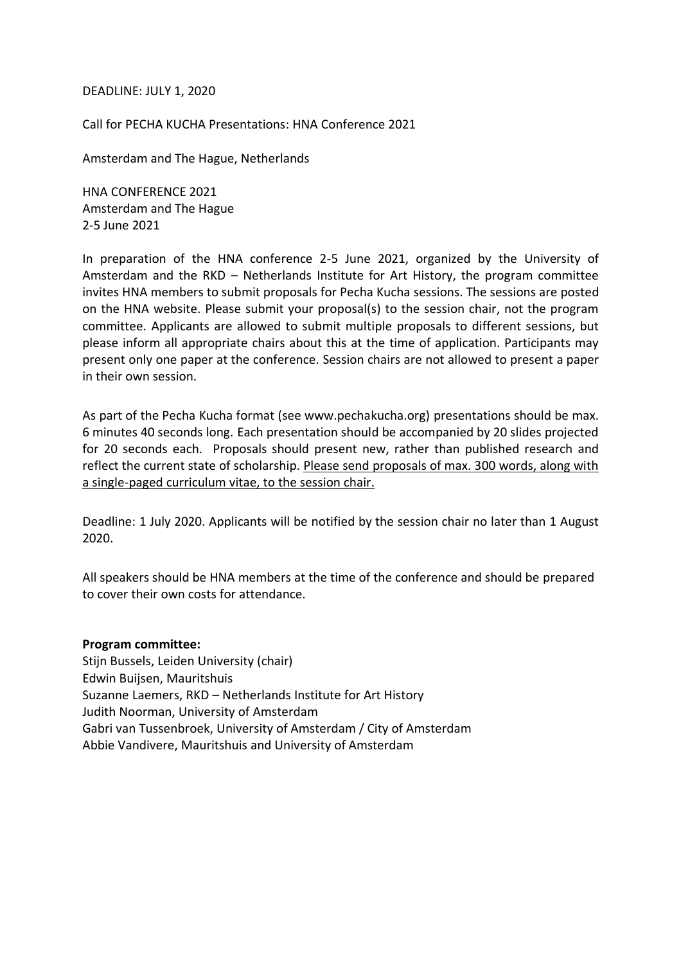#### DEADLINE: JULY 1, 2020

Call for PECHA KUCHA Presentations: HNA Conference 2021

Amsterdam and The Hague, Netherlands

HNA CONFERENCE 2021 Amsterdam and The Hague 2-5 June 2021

In preparation of the HNA conference 2-5 June 2021, organized by the University of Amsterdam and the RKD – Netherlands Institute for Art History, the program committee invites HNA members to submit proposals for Pecha Kucha sessions. The sessions are posted on the HNA website. Please submit your proposal(s) to the session chair, not the program committee. Applicants are allowed to submit multiple proposals to different sessions, but please inform all appropriate chairs about this at the time of application. Participants may present only one paper at the conference. Session chairs are not allowed to present a paper in their own session.

As part of the Pecha Kucha format (see www.pechakucha.org) presentations should be max. 6 minutes 40 seconds long. Each presentation should be accompanied by 20 slides projected for 20 seconds each. Proposals should present new, rather than published research and reflect the current state of scholarship. Please send proposals of max. 300 words, along with a single-paged curriculum vitae, to the session chair.

Deadline: 1 July 2020. Applicants will be notified by the session chair no later than 1 August 2020.

All speakers should be HNA members at the time of the conference and should be prepared to cover their own costs for attendance.

#### **Program committee:**

Stijn Bussels, Leiden University (chair) Edwin Buijsen, Mauritshuis Suzanne Laemers, RKD – Netherlands Institute for Art History Judith Noorman, University of Amsterdam Gabri van Tussenbroek, University of Amsterdam / City of Amsterdam Abbie Vandivere, Mauritshuis and University of Amsterdam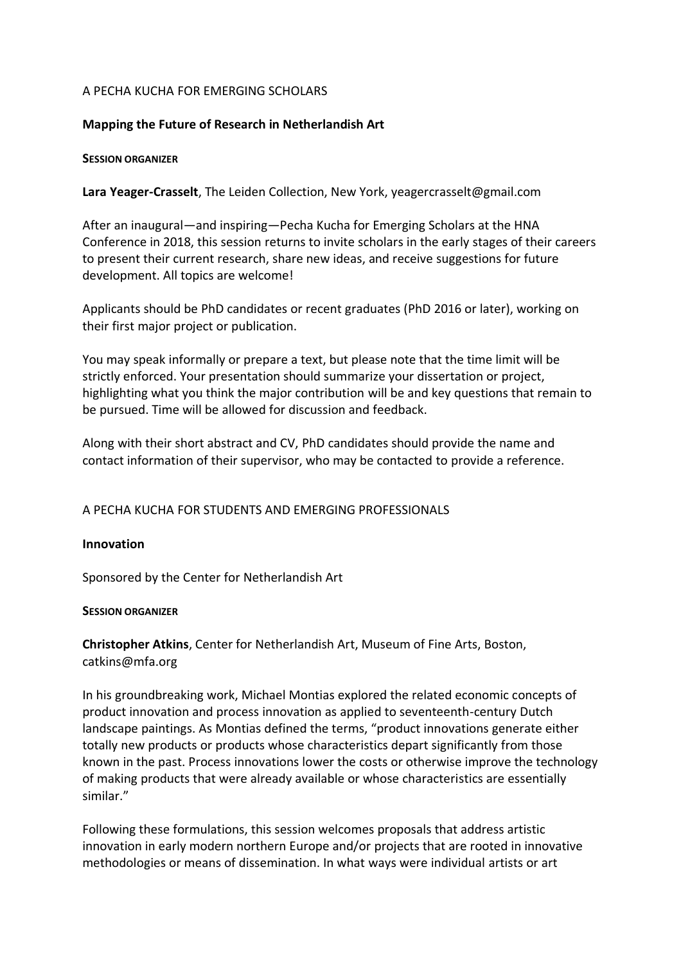# A PECHA KUCHA FOR EMERGING SCHOLARS

# **Mapping the Future of Research in Netherlandish Art**

### **SESSION ORGANIZER**

**Lara Yeager-Crasselt**, The Leiden Collection, New York, yeagercrasselt@gmail.com

After an inaugural—and inspiring—Pecha Kucha for Emerging Scholars at the HNA Conference in 2018, this session returns to invite scholars in the early stages of their careers to present their current research, share new ideas, and receive suggestions for future development. All topics are welcome!

Applicants should be PhD candidates or recent graduates (PhD 2016 or later), working on their first major project or publication.

You may speak informally or prepare a text, but please note that the time limit will be strictly enforced. Your presentation should summarize your dissertation or project, highlighting what you think the major contribution will be and key questions that remain to be pursued. Time will be allowed for discussion and feedback.

Along with their short abstract and CV, PhD candidates should provide the name and contact information of their supervisor, who may be contacted to provide a reference.

# A PECHA KUCHA FOR STUDENTS AND EMERGING PROFESSIONALS

# **Innovation**

Sponsored by the Center for Netherlandish Art

# **SESSION ORGANIZER**

**Christopher Atkins**, Center for Netherlandish Art, Museum of Fine Arts, Boston, catkins@mfa.org

In his groundbreaking work, Michael Montias explored the related economic concepts of product innovation and process innovation as applied to seventeenth-century Dutch landscape paintings. As Montias defined the terms, "product innovations generate either totally new products or products whose characteristics depart significantly from those known in the past. Process innovations lower the costs or otherwise improve the technology of making products that were already available or whose characteristics are essentially similar."

Following these formulations, this session welcomes proposals that address artistic innovation in early modern northern Europe and/or projects that are rooted in innovative methodologies or means of dissemination. In what ways were individual artists or art